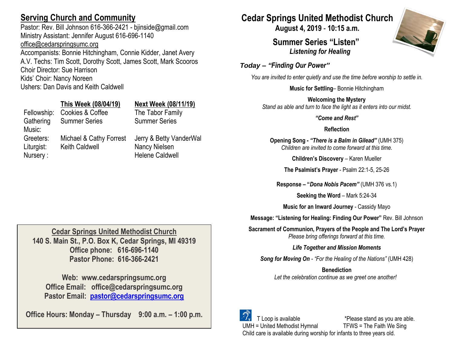## **Serving Church and Community**

Pastor: Rev. Bill Johnson 616-366-2421 - bjinside@gmail.com Ministry Assistant: Jennifer August 616-696-1140 [office@cedarspringsumc.org](mailto:office@cedarspringsumc.org) Accompanists: Bonnie Hitchingham, Connie Kidder, Janet Avery A.V. Techs: Tim Scott, Dorothy Scott, James Scott, Mark Scooros Choir Director: Sue Harrison Kids' Choir: Nancy Noreen Ushers: Dan Davis and Keith Caldwell

## **This Week (08/04/19) Next Week (08/11/19)**

Fellowship: Cookies & Coffee The Tabor Family Gathering Music: Summer Series Summer Series Greeters: Michael & Cathy Forrest Jerry & Betty VanderWal Liturgist: Keith Caldwell Nancy Nielsen Nursery : **Helene Caldwell** 

## **Cedar Springs United Methodist Church 140 S. Main St., P.O. Box K, Cedar Springs, MI 49319 Office phone: 616-696-1140 Pastor Phone: 616-366-2421**

**Web: www.cedarspringsumc.org Office Email: office@cedarspringsumc.org Pastor Email: [pastor@cedarspringsumc.org](mailto:pastor@cedarspringsumc.org)**

**Office Hours: Monday – Thursday 9:00 a.m. – 1:00 p.m.**

# **Cedar Springs United Methodist Church**

**August 4, 2019** - **10:15 a.m.**

**Summer Series "Listen"** *Listening for Healing* 



*Today – "Finding Our Power"*

*You are invited to enter quietly and use the time before worship to settle in.*

**Music for Settling**– Bonnie Hitchingham

**Welcoming the Mystery** *Stand as able and turn to face the light as it enters into our midst.*

*"Come and Rest"*

**Reflection**

**Opening Song -** *"There is a Balm in Gilead"* (UMH 375) *Children are invited to come forward at this time.*

**Children's Discovery** – Karen Mueller

**The Psalmist's Prayer** - Psalm 22:1-5, 25-26

**Response – "***Dona Nobis Pacem"* (UMH 376 vs.1)

**Seeking the Word** – Mark 5:24-34

**Music for an Inward Journey** - Cassidy Mayo

**Message: "Listening for Healing: Finding Our Power"** Rev. Bill Johnson

**Sacrament of Communion, Prayers of the People and The Lord's Prayer** *Please bring offerings forward at this time.*

*Life Together and Mission Moments*

*Song for Moving On - "For the Healing of the Nations"* (UMH 428)

**Benediction** *Let the celebration continue as we greet one another!*